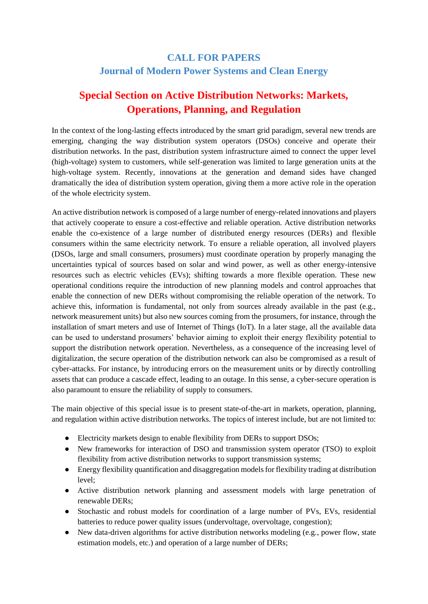## **CALL FOR PAPERS Journal of Modern Power Systems and Clean Energy**

# **Special Section on Active Distribution Networks: Markets, Operations, Planning, and Regulation**

In the context of the long-lasting effects introduced by the smart grid paradigm, several new trends are emerging, changing the way distribution system operators (DSOs) conceive and operate their distribution networks. In the past, distribution system infrastructure aimed to connect the upper level (high-voltage) system to customers, while self-generation was limited to large generation units at the high-voltage system. Recently, innovations at the generation and demand sides have changed dramatically the idea of distribution system operation, giving them a more active role in the operation of the whole electricity system.

An active distribution network is composed of a large number of energy-related innovations and players that actively cooperate to ensure a cost-effective and reliable operation. Active distribution networks enable the co-existence of a large number of distributed energy resources (DERs) and flexible consumers within the same electricity network. To ensure a reliable operation, all involved players (DSOs, large and small consumers, prosumers) must coordinate operation by properly managing the uncertainties typical of sources based on solar and wind power, as well as other energy-intensive resources such as electric vehicles (EVs); shifting towards a more flexible operation. These new operational conditions require the introduction of new planning models and control approaches that enable the connection of new DERs without compromising the reliable operation of the network. To achieve this, information is fundamental, not only from sources already available in the past (e.g., network measurement units) but also new sources coming from the prosumers, for instance, through the installation of smart meters and use of Internet of Things (IoT). In a later stage, all the available data can be used to understand prosumers' behavior aiming to exploit their energy flexibility potential to support the distribution network operation. Nevertheless, as a consequence of the increasing level of digitalization, the secure operation of the distribution network can also be compromised as a result of cyber-attacks. For instance, by introducing errors on the measurement units or by directly controlling assets that can produce a cascade effect, leading to an outage. In this sense, a cyber-secure operation is also paramount to ensure the reliability of supply to consumers.

The main objective of this special issue is to present state-of-the-art in markets, operation, planning, and regulation within active distribution networks. The topics of interest include, but are not limited to:

- Electricity markets design to enable flexibility from DERs to support DSOs;
- New frameworks for interaction of DSO and transmission system operator (TSO) to exploit flexibility from active distribution networks to support transmission systems;
- Energy flexibility quantification and disaggregation models for flexibility trading at distribution level;
- Active distribution network planning and assessment models with large penetration of renewable DERs;
- Stochastic and robust models for coordination of a large number of PVs, EVs, residential batteries to reduce power quality issues (undervoltage, overvoltage, congestion);
- New data-driven algorithms for active distribution networks modeling (e.g., power flow, state estimation models, etc.) and operation of a large number of DERs;